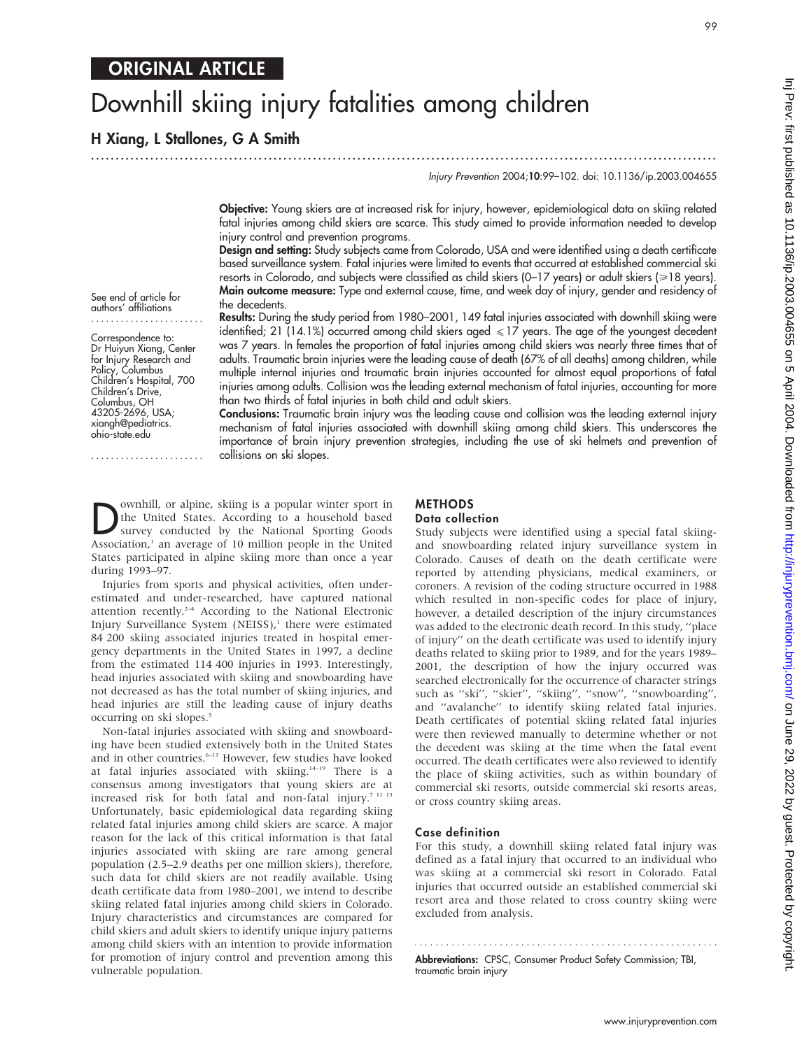## ORIGINAL ARTICLE

# Downhill skiing injury fatalities among children

H Xiang, L Stallones, G A Smith

.............................................................................................................................. .

99

Injury Prevention 2004;10:99–102. doi: 10.1136/ip.2003.004655

Objective: Young skiers are at increased risk for injury, however, epidemiological data on skiing related fatal injuries among child skiers are scarce. This study aimed to provide information needed to develop injury control and prevention programs.

Design and setting: Study subjects came from Colorado, USA and were identified using a death certificate based surveillance system. Fatal injuries were limited to events that occurred at established commercial ski resorts in Colorado, and subjects were classified as child skiers (0-17 years) or adult skiers (>18 years). Main outcome measure: Type and external cause, time, and week day of injury, gender and residency of the decedents.

See end of article for authors' affiliations

Correspondence to: Dr Huiyun Xiang, Center for Injury Research and Policy, Columbus Children's Hospital, 700 Children's Drive, Columbus, OH 43205-2696, USA; xiangh@pediatrics. ohio-state.edu

.......................

Results: During the study period from 1980–2001, 149 fatal injuries associated with downhill skiing were identified; 21 (14.1%) occurred among child skiers aged  $\leq 17$  years. The age of the youngest decedent was 7 years. In females the proportion of fatal injuries among child skiers was nearly three times that of adults. Traumatic brain injuries were the leading cause of death (67% of all deaths) among children, while multiple internal injuries and traumatic brain injuries accounted for almost equal proportions of fatal injuries among adults. Collision was the leading external mechanism of fatal injuries, accounting for more than two thirds of fatal injuries in both child and adult skiers.

Conclusions: Traumatic brain injury was the leading cause and collision was the leading external injury mechanism of fatal injuries associated with downhill skiing among child skiers. This underscores the importance of brain injury prevention strategies, including the use of ski helmets and prevention of collisions on ski slopes.

**D**ownhill, or alpine, skiing is a popular winter sport in the United States. According to a household based survey conducted by the National Sporting Goods Association <sup>1</sup> an average of 10 million people in the United the United States. According to a household based Association,<sup>1</sup> an average of 10 million people in the United States participated in alpine skiing more than once a year during 1993–97.

Injuries from sports and physical activities, often underestimated and under-researched, have captured national attention recently.2–4 According to the National Electronic Injury Surveillance System (NEISS),<sup>1</sup> there were estimated 84 200 skiing associated injuries treated in hospital emergency departments in the United States in 1997, a decline from the estimated 114 400 injuries in 1993. Interestingly, head injuries associated with skiing and snowboarding have not decreased as has the total number of skiing injuries, and head injuries are still the leading cause of injury deaths occurring on ski slopes.<sup>5</sup>

Non-fatal injuries associated with skiing and snowboarding have been studied extensively both in the United States and in other countries.<sup>6-13</sup> However, few studies have looked at fatal injuries associated with skiing.<sup>14-19</sup> There is a consensus among investigators that young skiers are at increased risk for both fatal and non-fatal injury.<sup>7 11 13</sup> Unfortunately, basic epidemiological data regarding skiing related fatal injuries among child skiers are scarce. A major reason for the lack of this critical information is that fatal injuries associated with skiing are rare among general population (2.5–2.9 deaths per one million skiers), therefore, such data for child skiers are not readily available. Using death certificate data from 1980–2001, we intend to describe skiing related fatal injuries among child skiers in Colorado. Injury characteristics and circumstances are compared for child skiers and adult skiers to identify unique injury patterns among child skiers with an intention to provide information for promotion of injury control and prevention among this vulnerable population.

### METHODS Data collection

Study subjects were identified using a special fatal skiingand snowboarding related injury surveillance system in Colorado. Causes of death on the death certificate were reported by attending physicians, medical examiners, or coroners. A revision of the coding structure occurred in 1988 which resulted in non-specific codes for place of injury, however, a detailed description of the injury circumstances was added to the electronic death record. In this study, ''place of injury'' on the death certificate was used to identify injury deaths related to skiing prior to 1989, and for the years 1989– 2001, the description of how the injury occurred was searched electronically for the occurrence of character strings such as ''ski'', ''skier'', ''skiing'', ''snow'', ''snowboarding'', and ''avalanche'' to identify skiing related fatal injuries. Death certificates of potential skiing related fatal injuries were then reviewed manually to determine whether or not the decedent was skiing at the time when the fatal event occurred. The death certificates were also reviewed to identify the place of skiing activities, such as within boundary of commercial ski resorts, outside commercial ski resorts areas, or cross country skiing areas.

## Case definition

For this study, a downhill skiing related fatal injury was defined as a fatal injury that occurred to an individual who was skiing at a commercial ski resort in Colorado. Fatal injuries that occurred outside an established commercial ski resort area and those related to cross country skiing were excluded from analysis.

Abbreviations: CPSC, Consumer Product Safety Commission; TBI, traumatic brain injury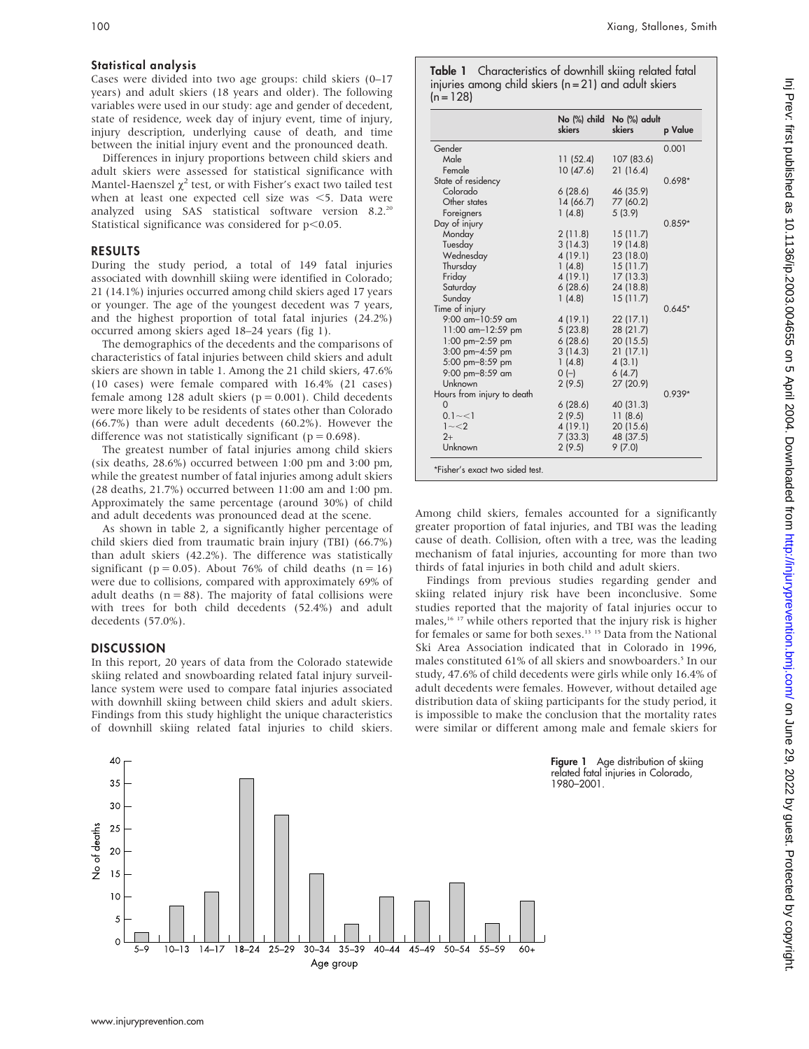#### Statistical analysis

Cases were divided into two age groups: child skiers (0–17 years) and adult skiers (18 years and older). The following variables were used in our study: age and gender of decedent, state of residence, week day of injury event, time of injury, injury description, underlying cause of death, and time between the initial injury event and the pronounced death.

Differences in injury proportions between child skiers and adult skiers were assessed for statistical significance with Mantel-Haenszel  $\chi^2$  test, or with Fisher's exact two tailed test when at least one expected cell size was  $\leq$ 5. Data were analyzed using SAS statistical software version 8.2.<sup>20</sup> Statistical significance was considered for  $p<0.05$ .

#### RESULTS

During the study period, a total of 149 fatal injuries associated with downhill skiing were identified in Colorado; 21 (14.1%) injuries occurred among child skiers aged 17 years or younger. The age of the youngest decedent was 7 years, and the highest proportion of total fatal injuries (24.2%) occurred among skiers aged 18–24 years (fig 1).

The demographics of the decedents and the comparisons of characteristics of fatal injuries between child skiers and adult skiers are shown in table 1. Among the 21 child skiers, 47.6% (10 cases) were female compared with 16.4% (21 cases) female among 128 adult skiers ( $p = 0.001$ ). Child decedents were more likely to be residents of states other than Colorado (66.7%) than were adult decedents (60.2%). However the difference was not statistically significant ( $p = 0.698$ ).

The greatest number of fatal injuries among child skiers (six deaths, 28.6%) occurred between 1:00 pm and 3:00 pm, while the greatest number of fatal injuries among adult skiers (28 deaths, 21.7%) occurred between 11:00 am and 1:00 pm. Approximately the same percentage (around 30%) of child and adult decedents was pronounced dead at the scene.

As shown in table 2, a significantly higher percentage of child skiers died from traumatic brain injury (TBI) (66.7%) than adult skiers (42.2%). The difference was statistically significant ( $p = 0.05$ ). About 76% of child deaths ( $n = 16$ ) were due to collisions, compared with approximately 69% of adult deaths  $(n = 88)$ . The majority of fatal collisions were with trees for both child decedents (52.4%) and adult decedents (57.0%).

### **DISCUSSION**

In this report, 20 years of data from the Colorado statewide skiing related and snowboarding related fatal injury surveillance system were used to compare fatal injuries associated with downhill skiing between child skiers and adult skiers. Findings from this study highlight the unique characteristics of downhill skiing related fatal injuries to child skiers.



|                                 | skiers   | No (%) child No (%) adult<br>skiers | p Value  |
|---------------------------------|----------|-------------------------------------|----------|
| Gender                          |          |                                     | 0.001    |
| Male                            | 11(52.4) | 107 (83.6)                          |          |
| Female                          | 10(47.6) | 21(16.4)                            |          |
| State of residency              |          |                                     | $0.698*$ |
| Colorado                        | 6(28.6)  | 46 (35.9)                           |          |
| Other states                    | 14(66.7) | 77 (60.2)                           |          |
| Foreigners                      | 1(4.8)   | 5(3.9)                              |          |
| Day of injury                   |          |                                     | $0.859*$ |
| Monday                          | 2(11.8)  | 15(11.7)                            |          |
| Tuesday                         | 3(14.3)  | 19 (14.8)                           |          |
| Wednesday                       | 4(19.1)  | 23 (18.0)                           |          |
| Thursday                        | 1(4.8)   | 15(11.7)                            |          |
| Friday                          | 4(19.1)  | 17(13.3)                            |          |
| Saturday                        | 6(28.6)  | 24 (18.8)                           |          |
| Sunday                          | 1(4.8)   | 15(11.7)                            |          |
| Time of injury                  |          |                                     | $0.645*$ |
| $9:00$ am-10:59 am              | 4(19.1)  | 22(17.1)                            |          |
| 11:00 am-12:59 pm               | 5(23.8)  | 28 (21.7)                           |          |
| 1:00 pm $-2:59$ pm              | 6(28.6)  | 20 (15.5)                           |          |
| 3:00 pm-4:59 pm                 | 3(14.3)  | 21(17.1)                            |          |
| 5:00 pm-8:59 pm                 | 1(4.8)   | 4(3.1)                              |          |
| 9:00 pm-8:59 am                 | $0 (-)$  | 6(4.7)                              |          |
| Unknown                         | 2(9.5)   | 27 (20.9)                           |          |
| Hours from injury to death      |          |                                     | $0.939*$ |
| $\Omega$                        | 6(28.6)  | 40 (31.3)                           |          |
| $0.1 - 1$                       | 2(9.5)   | 11(8.6)                             |          |
| $1 - 2$                         | 4(19.1)  | 20 (15.6)                           |          |
| $2+$                            | 7(33.3)  | 48 (37.5)                           |          |
| Unknown                         | 2(9.5)   | 9(7.0)                              |          |
| *Fisher's exact two sided test. |          |                                     |          |

Among child skiers, females accounted for a significantly greater proportion of fatal injuries, and TBI was the leading cause of death. Collision, often with a tree, was the leading mechanism of fatal injuries, accounting for more than two thirds of fatal injuries in both child and adult skiers.

Findings from previous studies regarding gender and skiing related injury risk have been inconclusive. Some studies reported that the majority of fatal injuries occur to males,16 17 while others reported that the injury risk is higher for females or same for both sexes.<sup>13</sup> <sup>15</sup> Data from the National Ski Area Association indicated that in Colorado in 1996, males constituted 61% of all skiers and snowboarders.<sup>5</sup> In our study, 47.6% of child decedents were girls while only 16.4% of adult decedents were females. However, without detailed age distribution data of skiing participants for the study period, it is impossible to make the conclusion that the mortality rates were similar or different among male and female skiers for



Figure 1 Age distribution of skiing related fatal injuries in Colorado, 1980–2001.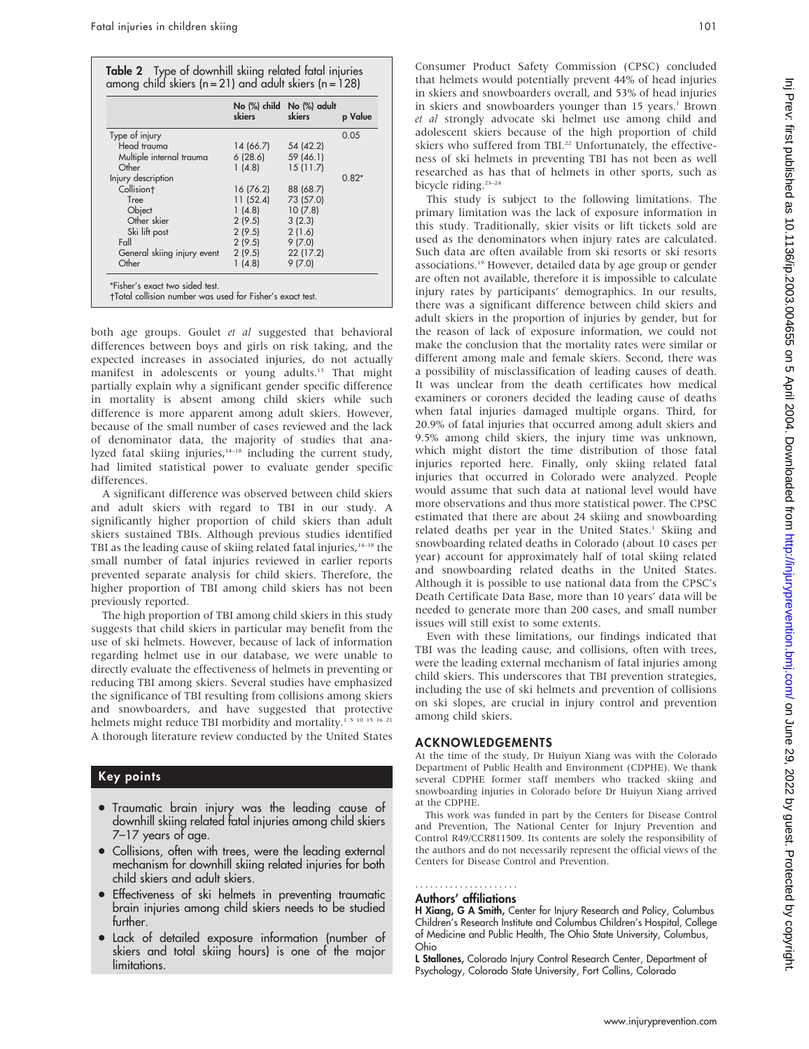|                             | skiers    | No (%) child No (%) adult<br>skiers | p Value |
|-----------------------------|-----------|-------------------------------------|---------|
| Type of injury              |           |                                     | 0.05    |
| Head trauma                 | 14 (66.7) | 54 (42.2)                           |         |
| Multiple internal trauma    | 6(28.6)   | 59 (46.1)                           |         |
| Other                       | 1(4.8)    | 15(11.7)                            |         |
| Injury description          |           |                                     | $0.82*$ |
| Collision <sup>+</sup>      | 16 (76.2) | 88 (68.7)                           |         |
| Tree                        | 11 (52.4) | 73 (57.0)                           |         |
| Object                      | 1(4.8)    | 10(7.8)                             |         |
| Other skier                 | 2(9.5)    | 3(2.3)                              |         |
| Ski lift post               | 2(9.5)    | 2(1.6)                              |         |
| Fall                        | 2(9.5)    | 9(7.0)                              |         |
| General skiing injury event | 2(9.5)    | 22 (17.2)                           |         |
| Other                       | 1(4.8)    | 9(7.0)                              |         |

both age groups. Goulet et al suggested that behavioral differences between boys and girls on risk taking, and the expected increases in associated injuries, do not actually manifest in adolescents or young adults.13 That might partially explain why a significant gender specific difference in mortality is absent among child skiers while such difference is more apparent among adult skiers. However, because of the small number of cases reviewed and the lack of denominator data, the majority of studies that analyzed fatal skiing injuries,<sup>14–18</sup> including the current study, had limited statistical power to evaluate gender specific differences.

A significant difference was observed between child skiers and adult skiers with regard to TBI in our study. A significantly higher proportion of child skiers than adult skiers sustained TBIs. Although previous studies identified TBI as the leading cause of skiing related fatal injuries, $14-18$  the small number of fatal injuries reviewed in earlier reports prevented separate analysis for child skiers. Therefore, the higher proportion of TBI among child skiers has not been previously reported.

The high proportion of TBI among child skiers in this study suggests that child skiers in particular may benefit from the use of ski helmets. However, because of lack of information regarding helmet use in our database, we were unable to directly evaluate the effectiveness of helmets in preventing or reducing TBI among skiers. Several studies have emphasized the significance of TBI resulting from collisions among skiers and snowboarders, and have suggested that protective helmets might reduce TBI morbidity and mortality.<sup>1 5 10 15 16</sup> <sup>21</sup> A thorough literature review conducted by the United States

## Key points

- Traumatic brain injury was the leading cause of downhill skiing related fatal injuries among child skiers 7–17 years of age.
- Collisions, often with trees, were the leading external mechanism for downhill skiing related injuries for both child skiers and adult skiers.
- **•** Effectiveness of ski helmets in preventing traumatic brain injuries among child skiers needs to be studied further.
- Lack of detailed exposure information (number of skiers and total skiing hours) is one of the major limitations.

Consumer Product Safety Commission (CPSC) concluded that helmets would potentially prevent 44% of head injuries in skiers and snowboarders overall, and 53% of head injuries in skiers and snowboarders younger than 15 years.<sup>1</sup> Brown et al strongly advocate ski helmet use among child and adolescent skiers because of the high proportion of child skiers who suffered from TBI.<sup>22</sup> Unfortunately, the effectiveness of ski helmets in preventing TBI has not been as well researched as has that of helmets in other sports, such as bicycle riding.23–24

This study is subject to the following limitations. The primary limitation was the lack of exposure information in this study. Traditionally, skier visits or lift tickets sold are used as the denominators when injury rates are calculated. Such data are often available from ski resorts or ski resorts associations.19 However, detailed data by age group or gender are often not available, therefore it is impossible to calculate injury rates by participants' demographics. In our results, there was a significant difference between child skiers and adult skiers in the proportion of injuries by gender, but for the reason of lack of exposure information, we could not make the conclusion that the mortality rates were similar or different among male and female skiers. Second, there was a possibility of misclassification of leading causes of death. It was unclear from the death certificates how medical examiners or coroners decided the leading cause of deaths when fatal injuries damaged multiple organs. Third, for 20.9% of fatal injuries that occurred among adult skiers and 9.5% among child skiers, the injury time was unknown, which might distort the time distribution of those fatal injuries reported here. Finally, only skiing related fatal injuries that occurred in Colorado were analyzed. People would assume that such data at national level would have more observations and thus more statistical power. The CPSC estimated that there are about 24 skiing and snowboarding related deaths per year in the United States.<sup>1</sup> Skiing and snowboarding related deaths in Colorado (about 10 cases per year) account for approximately half of total skiing related and snowboarding related deaths in the United States. Although it is possible to use national data from the CPSC's Death Certificate Data Base, more than 10 years' data will be needed to generate more than 200 cases, and small number issues will still exist to some extents.

Even with these limitations, our findings indicated that TBI was the leading cause, and collisions, often with trees, were the leading external mechanism of fatal injuries among child skiers. This underscores that TBI prevention strategies, including the use of ski helmets and prevention of collisions on ski slopes, are crucial in injury control and prevention among child skiers.

## ACKNOWLEDGEMENTS

At the time of the study, Dr Huiyun Xiang was with the Colorado Department of Public Health and Environment (CDPHE). We thank several CDPHE former staff members who tracked skiing and snowboarding injuries in Colorado before Dr Huiyun Xiang arrived at the CDPHE.

This work was funded in part by the Centers for Disease Control and Prevention, The National Center for Injury Prevention and Control R49/CCR811509. Its contents are solely the responsibility of the authors and do not necessarily represent the official views of the Centers for Disease Control and Prevention.

#### Authors' affiliations .....................

H Xiang, G A Smith, Center for Injury Research and Policy, Columbus Children's Research Institute and Columbus Children's Hospital, College of Medicine and Public Health, The Ohio State University, Columbus, Ohio

L Stallones, Colorado Injury Control Research Center, Department of Psychology, Colorado State University, Fort Collins, Colorado